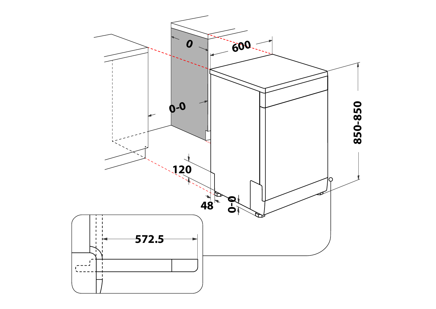